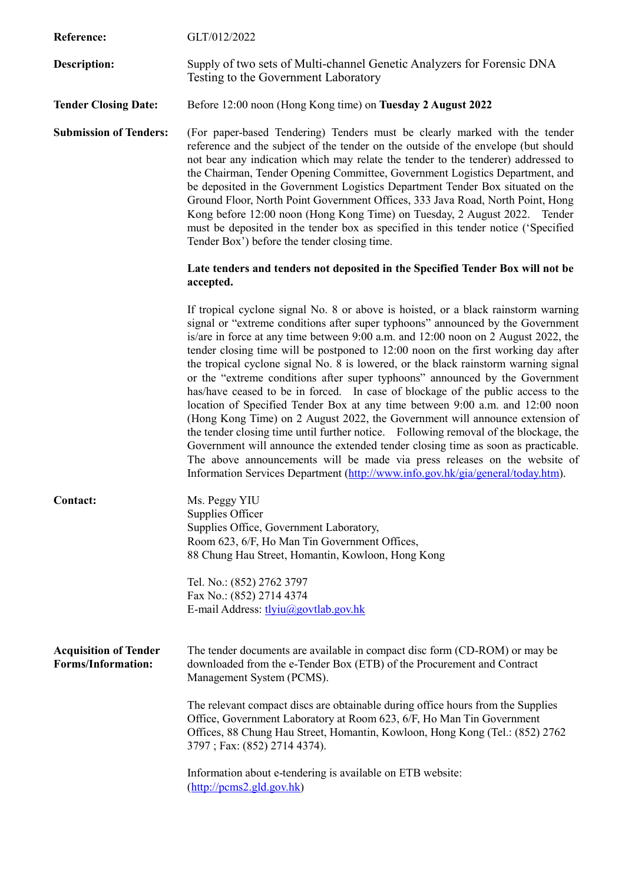| Reference:                                                | GLT/012/2022                                                                                                                                                                                                                                                                                                                                                                                                                                                                                                                                                                                                                                                                                                                                                                                                                                                                                                                                                                                                                                                                                                               |
|-----------------------------------------------------------|----------------------------------------------------------------------------------------------------------------------------------------------------------------------------------------------------------------------------------------------------------------------------------------------------------------------------------------------------------------------------------------------------------------------------------------------------------------------------------------------------------------------------------------------------------------------------------------------------------------------------------------------------------------------------------------------------------------------------------------------------------------------------------------------------------------------------------------------------------------------------------------------------------------------------------------------------------------------------------------------------------------------------------------------------------------------------------------------------------------------------|
| Description:                                              | Supply of two sets of Multi-channel Genetic Analyzers for Forensic DNA<br>Testing to the Government Laboratory                                                                                                                                                                                                                                                                                                                                                                                                                                                                                                                                                                                                                                                                                                                                                                                                                                                                                                                                                                                                             |
| <b>Tender Closing Date:</b>                               | Before 12:00 noon (Hong Kong time) on Tuesday 2 August 2022                                                                                                                                                                                                                                                                                                                                                                                                                                                                                                                                                                                                                                                                                                                                                                                                                                                                                                                                                                                                                                                                |
| <b>Submission of Tenders:</b>                             | (For paper-based Tendering) Tenders must be clearly marked with the tender<br>reference and the subject of the tender on the outside of the envelope (but should<br>not bear any indication which may relate the tender to the tenderer) addressed to<br>the Chairman, Tender Opening Committee, Government Logistics Department, and<br>be deposited in the Government Logistics Department Tender Box situated on the<br>Ground Floor, North Point Government Offices, 333 Java Road, North Point, Hong<br>Kong before 12:00 noon (Hong Kong Time) on Tuesday, 2 August 2022. Tender<br>must be deposited in the tender box as specified in this tender notice ('Specified<br>Tender Box') before the tender closing time.                                                                                                                                                                                                                                                                                                                                                                                               |
|                                                           | Late tenders and tenders not deposited in the Specified Tender Box will not be<br>accepted.                                                                                                                                                                                                                                                                                                                                                                                                                                                                                                                                                                                                                                                                                                                                                                                                                                                                                                                                                                                                                                |
|                                                           | If tropical cyclone signal No. 8 or above is hoisted, or a black rainstorm warning<br>signal or "extreme conditions after super typhoons" announced by the Government<br>is/are in force at any time between 9:00 a.m. and 12:00 noon on 2 August 2022, the<br>tender closing time will be postponed to 12:00 noon on the first working day after<br>the tropical cyclone signal No. 8 is lowered, or the black rainstorm warning signal<br>or the "extreme conditions after super typhoons" announced by the Government<br>has/have ceased to be in forced. In case of blockage of the public access to the<br>location of Specified Tender Box at any time between 9:00 a.m. and 12:00 noon<br>(Hong Kong Time) on 2 August 2022, the Government will announce extension of<br>the tender closing time until further notice. Following removal of the blockage, the<br>Government will announce the extended tender closing time as soon as practicable.<br>The above announcements will be made via press releases on the website of<br>Information Services Department (http://www.info.gov.hk/gia/general/today.htm). |
| Contact:                                                  | Ms. Peggy YIU<br>Supplies Officer<br>Supplies Office, Government Laboratory,<br>Room 623, 6/F, Ho Man Tin Government Offices,<br>88 Chung Hau Street, Homantin, Kowloon, Hong Kong                                                                                                                                                                                                                                                                                                                                                                                                                                                                                                                                                                                                                                                                                                                                                                                                                                                                                                                                         |
|                                                           | Tel. No.: (852) 2762 3797<br>Fax No.: (852) 2714 4374<br>E-mail Address: tlyiu@govtlab.gov.hk                                                                                                                                                                                                                                                                                                                                                                                                                                                                                                                                                                                                                                                                                                                                                                                                                                                                                                                                                                                                                              |
| <b>Acquisition of Tender</b><br><b>Forms/Information:</b> | The tender documents are available in compact disc form (CD-ROM) or may be<br>downloaded from the e-Tender Box (ETB) of the Procurement and Contract<br>Management System (PCMS).                                                                                                                                                                                                                                                                                                                                                                                                                                                                                                                                                                                                                                                                                                                                                                                                                                                                                                                                          |
|                                                           | The relevant compact discs are obtainable during office hours from the Supplies<br>Office, Government Laboratory at Room 623, 6/F, Ho Man Tin Government<br>Offices, 88 Chung Hau Street, Homantin, Kowloon, Hong Kong (Tel.: (852) 2762<br>3797; Fax: (852) 2714 4374).                                                                                                                                                                                                                                                                                                                                                                                                                                                                                                                                                                                                                                                                                                                                                                                                                                                   |
|                                                           | Information about e-tendering is available on ETB website:<br>$(\frac{http://pcms2-gld.gov.hk}{$                                                                                                                                                                                                                                                                                                                                                                                                                                                                                                                                                                                                                                                                                                                                                                                                                                                                                                                                                                                                                           |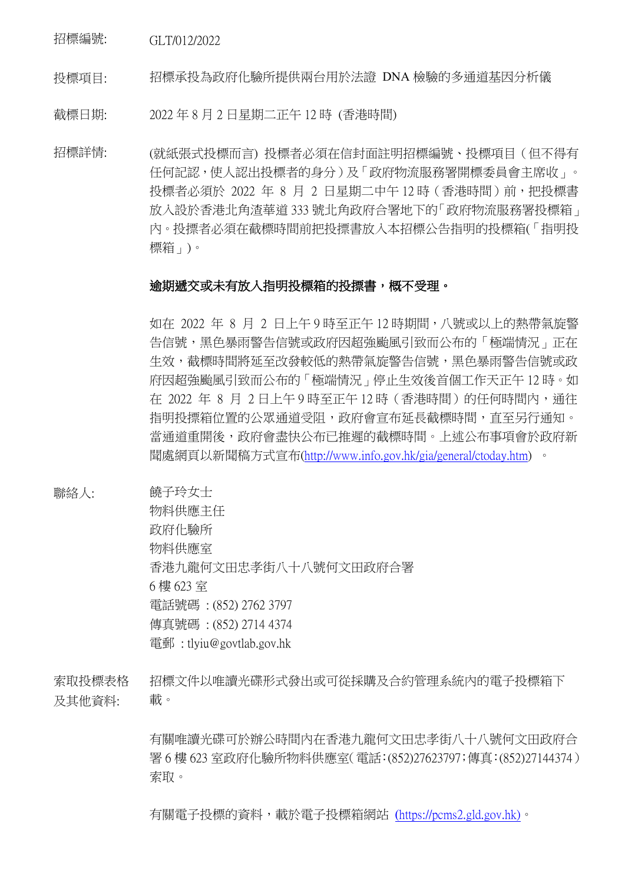招標編號: GLT/012/2022

投標項目: 招標承投為政府化驗所提供兩台用於法證 DNA 檢驗的多通道基因分析儀

截標日期: 2022 年 8 月 2 日星期二正午 12 時 (香港時間)

招標詳情: (就紙張式投標而言) 投標者必須在信封面註明招標編號、投標項目(但不得有 任何記認,使人認出投標者的身分)及「政府物流服務署開標委員會主席收」。 投標者必須於 2022 年 8 月 2 日星期二中午 12 時 (香港時間)前, 把投標書 放入設於香港北角渣華道 333 號北角政府合署地下的「政府物流服務署投標箱」 內。投摽者必須在截標時間前把投摽書放入本招標公告指明的投標箱(「指明投 標箱」)。

## 逾期遞交或未有放入指明投標箱的投摽書,概不受理。

如在 2022 年 8 月 2 日上午 9 時至正午 12 時期間,八號或以上的熱帶氣旋警 告信號,黑色暴雨警告信號或政府因超強颱風引致而公布的「極端情況」正在 生效,截標時間將延至改發較低的熱帶氣旋警告信號,黑色暴雨警告信號或政 府因超強颱風引致而公布的「極端情況」停止生效後首個工作天正午 12 時。如 在 2022 年 8 月 2 日上午 9 時至正午 12 時(香港時間)的任何時間內,通往 指明投摽箱位置的公眾通道受阻,政府會宣布延長截標時間,直至另行通知。 當通道重開後,政府會盡快公布已推遲的截標時間。上述公布事項會於政府新 聞處網頁以新聞稿方式宣布[\(http://www.info.gov.hk/gia/general/ctoday.htm\)](http://www.info.gov.hk/gia/general/ctoday.htm) 。

聯絡人: 饒子玲女士

物料供應主任 政府化驗所 物料供應室 香港九龍何文田忠孝街八十八號何文田政府合署 6 樓 623 室 電話號碼 : (852) 2762 3797 傳真號碼 : (852) 2714 4374 電郵 : tlyiu@govtlab.gov.hk

索取投標表格 及其他資料: 招標文件以唯讀光碟形式發出或可從採購及合約管理系統內的電子投標箱下 載。

> 有關唯讀光碟可於辦公時間內在香港九龍何文田忠孝街八十八號何文田政府合 署 6 樓 623 室政府化驗所物料供應室(電話:(852)27623797;傳真:(852)27144374) 索取。

有關電子投標的資料,載於電子投標箱網站 (https://pcms2.gld.gov.hk)。